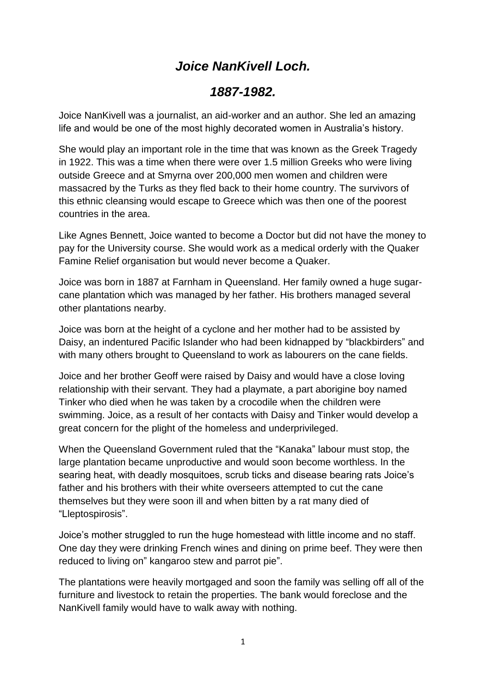## *Joice NanKivell Loch.*

## *1887-1982.*

Joice NanKivell was a journalist, an aid-worker and an author. She led an amazing life and would be one of the most highly decorated women in Australia's history.

She would play an important role in the time that was known as the Greek Tragedy in 1922. This was a time when there were over 1.5 million Greeks who were living outside Greece and at Smyrna over 200,000 men women and children were massacred by the Turks as they fled back to their home country. The survivors of this ethnic cleansing would escape to Greece which was then one of the poorest countries in the area.

Like Agnes Bennett, Joice wanted to become a Doctor but did not have the money to pay for the University course. She would work as a medical orderly with the Quaker Famine Relief organisation but would never become a Quaker.

Joice was born in 1887 at Farnham in Queensland. Her family owned a huge sugarcane plantation which was managed by her father. His brothers managed several other plantations nearby.

Joice was born at the height of a cyclone and her mother had to be assisted by Daisy, an indentured Pacific Islander who had been kidnapped by "blackbirders" and with many others brought to Queensland to work as labourers on the cane fields.

Joice and her brother Geoff were raised by Daisy and would have a close loving relationship with their servant. They had a playmate, a part aborigine boy named Tinker who died when he was taken by a crocodile when the children were swimming. Joice, as a result of her contacts with Daisy and Tinker would develop a great concern for the plight of the homeless and underprivileged.

When the Queensland Government ruled that the "Kanaka" labour must stop, the large plantation became unproductive and would soon become worthless. In the searing heat, with deadly mosquitoes, scrub ticks and disease bearing rats Joice's father and his brothers with their white overseers attempted to cut the cane themselves but they were soon ill and when bitten by a rat many died of "Lleptospirosis".

Joice's mother struggled to run the huge homestead with little income and no staff. One day they were drinking French wines and dining on prime beef. They were then reduced to living on" kangaroo stew and parrot pie".

The plantations were heavily mortgaged and soon the family was selling off all of the furniture and livestock to retain the properties. The bank would foreclose and the NanKivell family would have to walk away with nothing.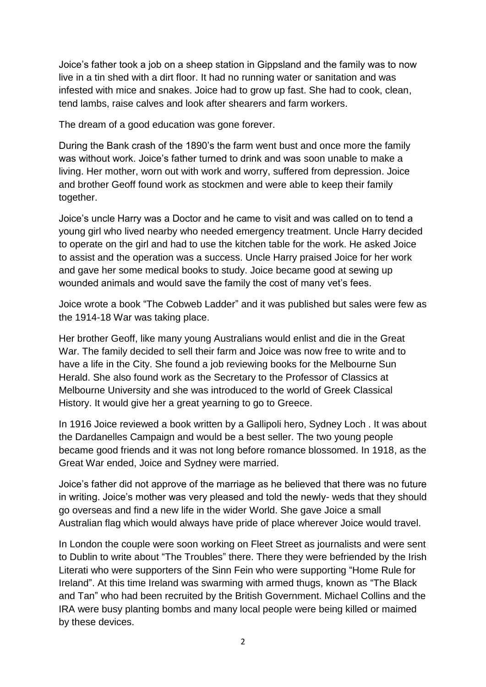Joice's father took a job on a sheep station in Gippsland and the family was to now live in a tin shed with a dirt floor. It had no running water or sanitation and was infested with mice and snakes. Joice had to grow up fast. She had to cook, clean, tend lambs, raise calves and look after shearers and farm workers.

The dream of a good education was gone forever.

During the Bank crash of the 1890's the farm went bust and once more the family was without work. Joice's father turned to drink and was soon unable to make a living. Her mother, worn out with work and worry, suffered from depression. Joice and brother Geoff found work as stockmen and were able to keep their family together.

Joice's uncle Harry was a Doctor and he came to visit and was called on to tend a young girl who lived nearby who needed emergency treatment. Uncle Harry decided to operate on the girl and had to use the kitchen table for the work. He asked Joice to assist and the operation was a success. Uncle Harry praised Joice for her work and gave her some medical books to study. Joice became good at sewing up wounded animals and would save the family the cost of many vet's fees.

Joice wrote a book "The Cobweb Ladder" and it was published but sales were few as the 1914-18 War was taking place.

Her brother Geoff, like many young Australians would enlist and die in the Great War. The family decided to sell their farm and Joice was now free to write and to have a life in the City. She found a job reviewing books for the Melbourne Sun Herald. She also found work as the Secretary to the Professor of Classics at Melbourne University and she was introduced to the world of Greek Classical History. It would give her a great yearning to go to Greece.

In 1916 Joice reviewed a book written by a Gallipoli hero, Sydney Loch . It was about the Dardanelles Campaign and would be a best seller. The two young people became good friends and it was not long before romance blossomed. In 1918, as the Great War ended, Joice and Sydney were married.

Joice's father did not approve of the marriage as he believed that there was no future in writing. Joice's mother was very pleased and told the newly- weds that they should go overseas and find a new life in the wider World. She gave Joice a small Australian flag which would always have pride of place wherever Joice would travel.

In London the couple were soon working on Fleet Street as journalists and were sent to Dublin to write about "The Troubles" there. There they were befriended by the Irish Literati who were supporters of the Sinn Fein who were supporting "Home Rule for Ireland". At this time Ireland was swarming with armed thugs, known as "The Black and Tan" who had been recruited by the British Government. Michael Collins and the IRA were busy planting bombs and many local people were being killed or maimed by these devices.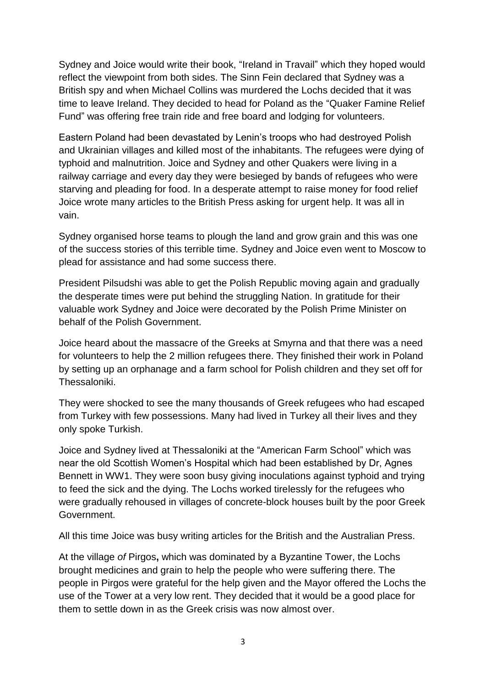Sydney and Joice would write their book, "Ireland in Travail" which they hoped would reflect the viewpoint from both sides. The Sinn Fein declared that Sydney was a British spy and when Michael Collins was murdered the Lochs decided that it was time to leave Ireland. They decided to head for Poland as the "Quaker Famine Relief Fund" was offering free train ride and free board and lodging for volunteers.

Eastern Poland had been devastated by Lenin's troops who had destroyed Polish and Ukrainian villages and killed most of the inhabitants. The refugees were dying of typhoid and malnutrition. Joice and Sydney and other Quakers were living in a railway carriage and every day they were besieged by bands of refugees who were starving and pleading for food. In a desperate attempt to raise money for food relief Joice wrote many articles to the British Press asking for urgent help. It was all in vain.

Sydney organised horse teams to plough the land and grow grain and this was one of the success stories of this terrible time. Sydney and Joice even went to Moscow to plead for assistance and had some success there.

President Pilsudshi was able to get the Polish Republic moving again and gradually the desperate times were put behind the struggling Nation. In gratitude for their valuable work Sydney and Joice were decorated by the Polish Prime Minister on behalf of the Polish Government.

Joice heard about the massacre of the Greeks at Smyrna and that there was a need for volunteers to help the 2 million refugees there. They finished their work in Poland by setting up an orphanage and a farm school for Polish children and they set off for Thessaloniki.

They were shocked to see the many thousands of Greek refugees who had escaped from Turkey with few possessions. Many had lived in Turkey all their lives and they only spoke Turkish.

Joice and Sydney lived at Thessaloniki at the "American Farm School" which was near the old Scottish Women's Hospital which had been established by Dr, Agnes Bennett in WW1. They were soon busy giving inoculations against typhoid and trying to feed the sick and the dying. The Lochs worked tirelessly for the refugees who were gradually rehoused in villages of concrete-block houses built by the poor Greek Government.

All this time Joice was busy writing articles for the British and the Australian Press.

At the village *of* Pirgos**,** which was dominated by a Byzantine Tower, the Lochs brought medicines and grain to help the people who were suffering there. The people in Pirgos were grateful for the help given and the Mayor offered the Lochs the use of the Tower at a very low rent. They decided that it would be a good place for them to settle down in as the Greek crisis was now almost over.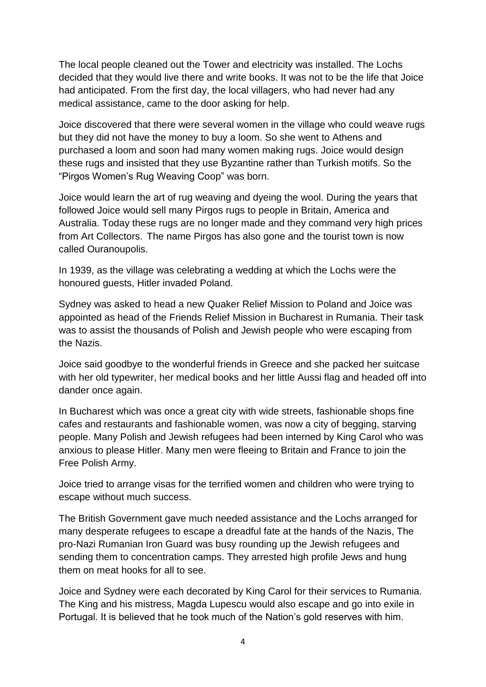The local people cleaned out the Tower and electricity was installed. The Lochs decided that they would live there and write books. It was not to be the life that Joice had anticipated. From the first day, the local villagers, who had never had any medical assistance, came to the door asking for help.

Joice discovered that there were several women in the village who could weave rugs but they did not have the money to buy a loom. So she went to Athens and purchased a loom and soon had many women making rugs. Joice would design these rugs and insisted that they use Byzantine rather than Turkish motifs. So the "Pirgos Women's Rug Weaving Coop" was born.

Joice would learn the art of rug weaving and dyeing the wool. During the years that followed Joice would sell many Pirgos rugs to people in Britain, America and Australia. Today these rugs are no longer made and they command very high prices from Art Collectors. The name Pirgos has also gone and the tourist town is now called Ouranoupolis.

In 1939, as the village was celebrating a wedding at which the Lochs were the honoured guests, Hitler invaded Poland.

Sydney was asked to head a new Quaker Relief Mission to Poland and Joice was appointed as head of the Friends Relief Mission in Bucharest in Rumania. Their task was to assist the thousands of Polish and Jewish people who were escaping from the Nazis.

Joice said goodbye to the wonderful friends in Greece and she packed her suitcase with her old typewriter, her medical books and her little Aussi flag and headed off into dander once again.

In Bucharest which was once a great city with wide streets, fashionable shops fine cafes and restaurants and fashionable women, was now a city of begging, starving people. Many Polish and Jewish refugees had been interned by King Carol who was anxious to please Hitler. Many men were fleeing to Britain and France to join the Free Polish Army.

Joice tried to arrange visas for the terrified women and children who were trying to escape without much success.

The British Government gave much needed assistance and the Lochs arranged for many desperate refugees to escape a dreadful fate at the hands of the Nazis, The pro-Nazi Rumanian Iron Guard was busy rounding up the Jewish refugees and sending them to concentration camps. They arrested high profile Jews and hung them on meat hooks for all to see.

Joice and Sydney were each decorated by King Carol for their services to Rumania. The King and his mistress, Magda Lupescu would also escape and go into exile in Portugal. It is believed that he took much of the Nation's gold reserves with him.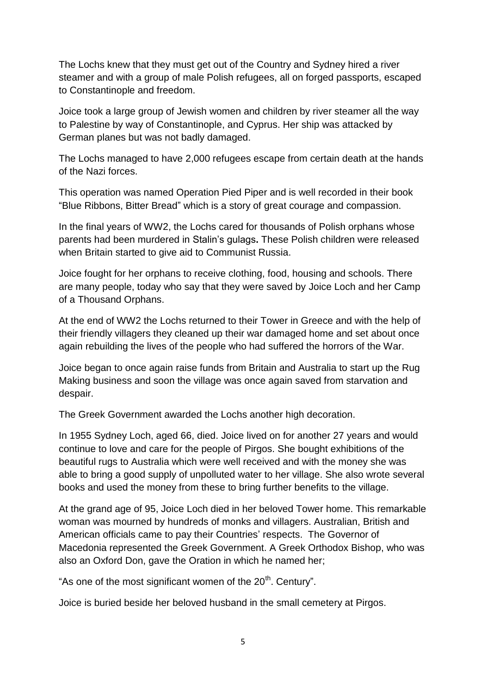The Lochs knew that they must get out of the Country and Sydney hired a river steamer and with a group of male Polish refugees, all on forged passports, escaped to Constantinople and freedom.

Joice took a large group of Jewish women and children by river steamer all the way to Palestine by way of Constantinople, and Cyprus. Her ship was attacked by German planes but was not badly damaged.

The Lochs managed to have 2,000 refugees escape from certain death at the hands of the Nazi forces.

This operation was named Operation Pied Piper and is well recorded in their book "Blue Ribbons, Bitter Bread" which is a story of great courage and compassion.

In the final years of WW2, the Lochs cared for thousands of Polish orphans whose parents had been murdered in Stalin's gulags**.** These Polish children were released when Britain started to give aid to Communist Russia.

Joice fought for her orphans to receive clothing, food, housing and schools. There are many people, today who say that they were saved by Joice Loch and her Camp of a Thousand Orphans.

At the end of WW2 the Lochs returned to their Tower in Greece and with the help of their friendly villagers they cleaned up their war damaged home and set about once again rebuilding the lives of the people who had suffered the horrors of the War.

Joice began to once again raise funds from Britain and Australia to start up the Rug Making business and soon the village was once again saved from starvation and despair.

The Greek Government awarded the Lochs another high decoration.

In 1955 Sydney Loch, aged 66, died. Joice lived on for another 27 years and would continue to love and care for the people of Pirgos. She bought exhibitions of the beautiful rugs to Australia which were well received and with the money she was able to bring a good supply of unpolluted water to her village. She also wrote several books and used the money from these to bring further benefits to the village.

At the grand age of 95, Joice Loch died in her beloved Tower home. This remarkable woman was mourned by hundreds of monks and villagers. Australian, British and American officials came to pay their Countries' respects. The Governor of Macedonia represented the Greek Government. A Greek Orthodox Bishop, who was also an Oxford Don, gave the Oration in which he named her;

"As one of the most significant women of the  $20<sup>th</sup>$ . Century".

Joice is buried beside her beloved husband in the small cemetery at Pirgos.